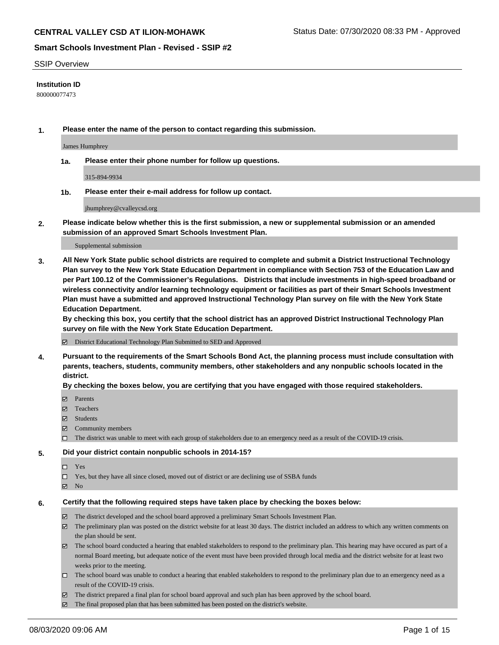#### SSIP Overview

### **Institution ID**

800000077473

**1. Please enter the name of the person to contact regarding this submission.**

James Humphrey

**1a. Please enter their phone number for follow up questions.**

315-894-9934

**1b. Please enter their e-mail address for follow up contact.**

jhumphrey@cvalleycsd.org

**2. Please indicate below whether this is the first submission, a new or supplemental submission or an amended submission of an approved Smart Schools Investment Plan.**

#### Supplemental submission

**3. All New York State public school districts are required to complete and submit a District Instructional Technology Plan survey to the New York State Education Department in compliance with Section 753 of the Education Law and per Part 100.12 of the Commissioner's Regulations. Districts that include investments in high-speed broadband or wireless connectivity and/or learning technology equipment or facilities as part of their Smart Schools Investment Plan must have a submitted and approved Instructional Technology Plan survey on file with the New York State Education Department.** 

**By checking this box, you certify that the school district has an approved District Instructional Technology Plan survey on file with the New York State Education Department.**

District Educational Technology Plan Submitted to SED and Approved

**4. Pursuant to the requirements of the Smart Schools Bond Act, the planning process must include consultation with parents, teachers, students, community members, other stakeholders and any nonpublic schools located in the district.** 

#### **By checking the boxes below, you are certifying that you have engaged with those required stakeholders.**

- **□** Parents
- Teachers
- Students
- $\boxtimes$  Community members
- The district was unable to meet with each group of stakeholders due to an emergency need as a result of the COVID-19 crisis.

### **5. Did your district contain nonpublic schools in 2014-15?**

- $\neg$  Yes
- Yes, but they have all since closed, moved out of district or are declining use of SSBA funds
- **Z** No

#### **6. Certify that the following required steps have taken place by checking the boxes below:**

- The district developed and the school board approved a preliminary Smart Schools Investment Plan.
- $\boxtimes$  The preliminary plan was posted on the district website for at least 30 days. The district included an address to which any written comments on the plan should be sent.
- The school board conducted a hearing that enabled stakeholders to respond to the preliminary plan. This hearing may have occured as part of a normal Board meeting, but adequate notice of the event must have been provided through local media and the district website for at least two weeks prior to the meeting.
- The school board was unable to conduct a hearing that enabled stakeholders to respond to the preliminary plan due to an emergency need as a result of the COVID-19 crisis.
- The district prepared a final plan for school board approval and such plan has been approved by the school board.
- $\boxtimes$  The final proposed plan that has been submitted has been posted on the district's website.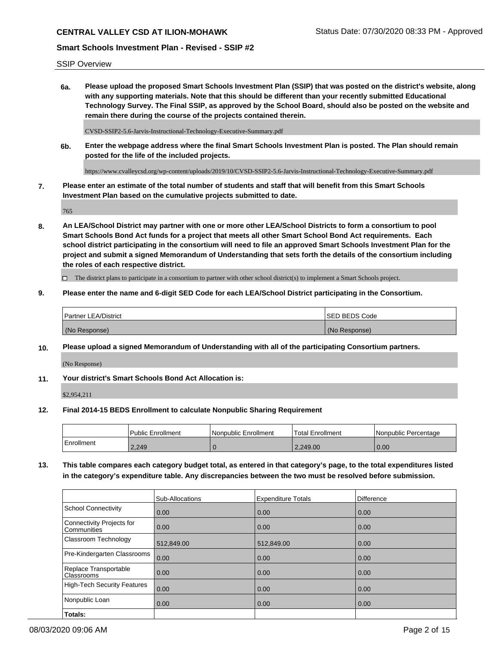SSIP Overview

**6a. Please upload the proposed Smart Schools Investment Plan (SSIP) that was posted on the district's website, along with any supporting materials. Note that this should be different than your recently submitted Educational Technology Survey. The Final SSIP, as approved by the School Board, should also be posted on the website and remain there during the course of the projects contained therein.**

CVSD-SSIP2-5.6-Jarvis-Instructional-Technology-Executive-Summary.pdf

**6b. Enter the webpage address where the final Smart Schools Investment Plan is posted. The Plan should remain posted for the life of the included projects.**

https://www.cvalleycsd.org/wp-content/uploads/2019/10/CVSD-SSIP2-5.6-Jarvis-Instructional-Technology-Executive-Summary.pdf

**7. Please enter an estimate of the total number of students and staff that will benefit from this Smart Schools Investment Plan based on the cumulative projects submitted to date.**

765

**8. An LEA/School District may partner with one or more other LEA/School Districts to form a consortium to pool Smart Schools Bond Act funds for a project that meets all other Smart School Bond Act requirements. Each school district participating in the consortium will need to file an approved Smart Schools Investment Plan for the project and submit a signed Memorandum of Understanding that sets forth the details of the consortium including the roles of each respective district.**

 $\Box$  The district plans to participate in a consortium to partner with other school district(s) to implement a Smart Schools project.

### **9. Please enter the name and 6-digit SED Code for each LEA/School District participating in the Consortium.**

| Partner LEA/District | <b>ISED BEDS Code</b> |
|----------------------|-----------------------|
| (No Response)        | (No Response)         |

#### **10. Please upload a signed Memorandum of Understanding with all of the participating Consortium partners.**

(No Response)

**11. Your district's Smart Schools Bond Act Allocation is:**

\$2,954,211

#### **12. Final 2014-15 BEDS Enrollment to calculate Nonpublic Sharing Requirement**

|            | Public Enrollment | Nonpublic Enrollment | Total Enrollment | l Nonpublic Percentage |
|------------|-------------------|----------------------|------------------|------------------------|
| Enrollment | 2.249             |                      | 2.249.00         | 0.00                   |

**13. This table compares each category budget total, as entered in that category's page, to the total expenditures listed in the category's expenditure table. Any discrepancies between the two must be resolved before submission.**

|                                          | Sub-Allocations | <b>Expenditure Totals</b> | Difference |
|------------------------------------------|-----------------|---------------------------|------------|
| <b>School Connectivity</b>               | 0.00            | 0.00                      | 0.00       |
| Connectivity Projects for<br>Communities | 0.00            | 0.00                      | 0.00       |
| Classroom Technology                     | 512,849.00      | 512,849.00                | 0.00       |
| Pre-Kindergarten Classrooms              | 0.00            | 0.00                      | 0.00       |
| Replace Transportable<br>Classrooms      | 0.00            | 0.00                      | 0.00       |
| <b>High-Tech Security Features</b>       | 0.00            | 0.00                      | 0.00       |
| Nonpublic Loan                           | 0.00            | 0.00                      | 0.00       |
| Totals:                                  |                 |                           |            |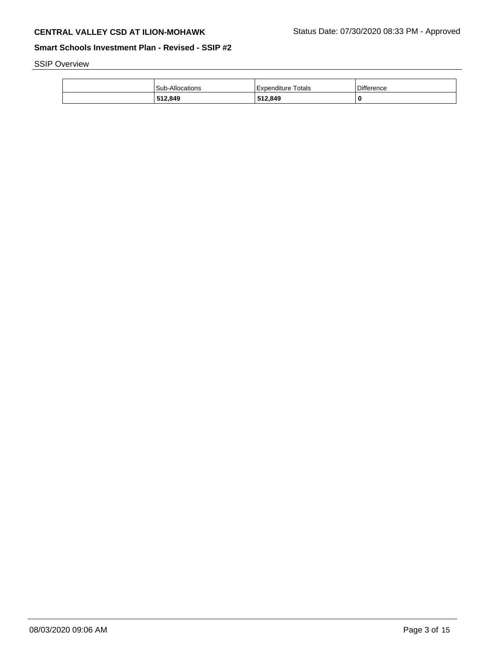SSIP Overview

| 512,849                | 512,849            | 0          |
|------------------------|--------------------|------------|
| <b>Sub-Allocations</b> | Expenditure Totals | Difference |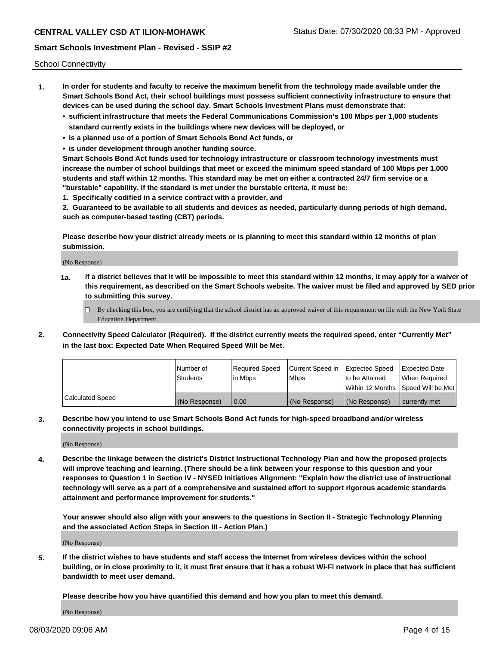School Connectivity

- **1. In order for students and faculty to receive the maximum benefit from the technology made available under the Smart Schools Bond Act, their school buildings must possess sufficient connectivity infrastructure to ensure that devices can be used during the school day. Smart Schools Investment Plans must demonstrate that:**
	- **• sufficient infrastructure that meets the Federal Communications Commission's 100 Mbps per 1,000 students standard currently exists in the buildings where new devices will be deployed, or**
	- **• is a planned use of a portion of Smart Schools Bond Act funds, or**
	- **• is under development through another funding source.**

**Smart Schools Bond Act funds used for technology infrastructure or classroom technology investments must increase the number of school buildings that meet or exceed the minimum speed standard of 100 Mbps per 1,000 students and staff within 12 months. This standard may be met on either a contracted 24/7 firm service or a "burstable" capability. If the standard is met under the burstable criteria, it must be:**

**1. Specifically codified in a service contract with a provider, and**

**2. Guaranteed to be available to all students and devices as needed, particularly during periods of high demand, such as computer-based testing (CBT) periods.**

**Please describe how your district already meets or is planning to meet this standard within 12 months of plan submission.**

(No Response)

**1a. If a district believes that it will be impossible to meet this standard within 12 months, it may apply for a waiver of this requirement, as described on the Smart Schools website. The waiver must be filed and approved by SED prior to submitting this survey.**

 $\Box$  By checking this box, you are certifying that the school district has an approved waiver of this requirement on file with the New York State Education Department.

**2. Connectivity Speed Calculator (Required). If the district currently meets the required speed, enter "Currently Met" in the last box: Expected Date When Required Speed Will be Met.**

|                  | l Number of     | Reauired Speed | Current Speed in Expected Speed |                | Expected Date                       |
|------------------|-----------------|----------------|---------------------------------|----------------|-------------------------------------|
|                  | <b>Students</b> | l in Mbps      | l Mbps                          | to be Attained | When Required                       |
|                  |                 |                |                                 |                | Within 12 Months ISpeed Will be Met |
| Calculated Speed | (No Response)   | 0.00           | (No Response)                   | (No Response)  | currently met                       |

**3. Describe how you intend to use Smart Schools Bond Act funds for high-speed broadband and/or wireless connectivity projects in school buildings.**

(No Response)

**4. Describe the linkage between the district's District Instructional Technology Plan and how the proposed projects will improve teaching and learning. (There should be a link between your response to this question and your responses to Question 1 in Section IV - NYSED Initiatives Alignment: "Explain how the district use of instructional technology will serve as a part of a comprehensive and sustained effort to support rigorous academic standards attainment and performance improvement for students."** 

**Your answer should also align with your answers to the questions in Section II - Strategic Technology Planning and the associated Action Steps in Section III - Action Plan.)**

(No Response)

**5. If the district wishes to have students and staff access the Internet from wireless devices within the school building, or in close proximity to it, it must first ensure that it has a robust Wi-Fi network in place that has sufficient bandwidth to meet user demand.**

**Please describe how you have quantified this demand and how you plan to meet this demand.**

(No Response)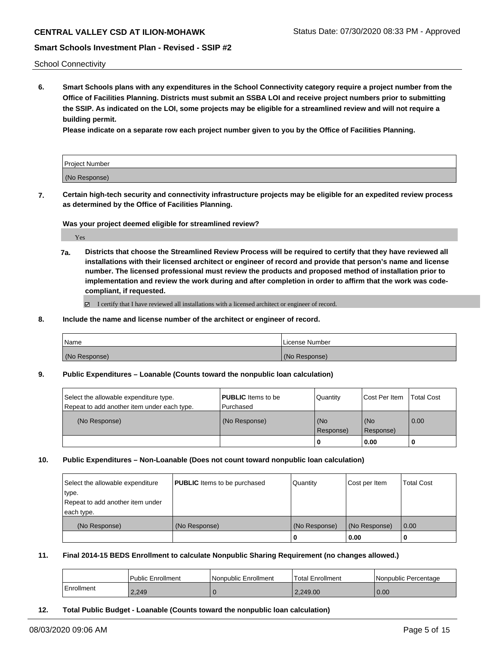## **CENTRAL VALLEY CSD AT ILION-MOHAWK** Status Date: 07/30/2020 08:33 PM - Approved

## **Smart Schools Investment Plan - Revised - SSIP #2**

School Connectivity

**6. Smart Schools plans with any expenditures in the School Connectivity category require a project number from the Office of Facilities Planning. Districts must submit an SSBA LOI and receive project numbers prior to submitting the SSIP. As indicated on the LOI, some projects may be eligible for a streamlined review and will not require a building permit.**

**Please indicate on a separate row each project number given to you by the Office of Facilities Planning.**

| Project Number |  |
|----------------|--|
| (No Response)  |  |

**7. Certain high-tech security and connectivity infrastructure projects may be eligible for an expedited review process as determined by the Office of Facilities Planning.**

**Was your project deemed eligible for streamlined review?**

Yes

**7a. Districts that choose the Streamlined Review Process will be required to certify that they have reviewed all installations with their licensed architect or engineer of record and provide that person's name and license number. The licensed professional must review the products and proposed method of installation prior to implementation and review the work during and after completion in order to affirm that the work was codecompliant, if requested.**

■ I certify that I have reviewed all installations with a licensed architect or engineer of record.

**8. Include the name and license number of the architect or engineer of record.**

| l Name        | Llicense Number |
|---------------|-----------------|
| (No Response) | (No Response)   |

**9. Public Expenditures – Loanable (Counts toward the nonpublic loan calculation)**

| Select the allowable expenditure type.      | <b>PUBLIC</b> Items to be | Quantity             | Cost Per Item    | <b>Total Cost</b> |
|---------------------------------------------|---------------------------|----------------------|------------------|-------------------|
| Repeat to add another item under each type. | Purchased                 |                      |                  |                   |
| (No Response)                               | (No Response)             | l (No<br>l Response) | (No<br>Response) | $\overline{0.00}$ |
|                                             |                           |                      | 0.00             |                   |

#### **10. Public Expenditures – Non-Loanable (Does not count toward nonpublic loan calculation)**

| Select the allowable expenditure | <b>PUBLIC</b> Items to be purchased | Quantity      | Cost per Item | <b>Total Cost</b> |
|----------------------------------|-------------------------------------|---------------|---------------|-------------------|
| type.                            |                                     |               |               |                   |
| Repeat to add another item under |                                     |               |               |                   |
| each type.                       |                                     |               |               |                   |
| (No Response)                    | (No Response)                       | (No Response) | (No Response) | $\overline{0.00}$ |
|                                  |                                     | U             | 0.00          |                   |

**11. Final 2014-15 BEDS Enrollment to calculate Nonpublic Sharing Requirement (no changes allowed.)**

|            | l Public Enrollment | l Nonpublic Enrollment | Total Enrollment | I Nonpublic Percentage |
|------------|---------------------|------------------------|------------------|------------------------|
| Enrollment | 2,249               |                        | 2.249.00         | 0.00                   |

**12. Total Public Budget - Loanable (Counts toward the nonpublic loan calculation)**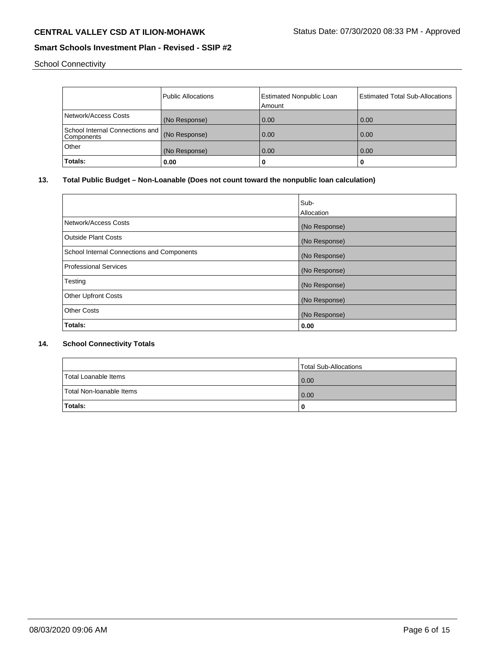School Connectivity

|                                               | <b>Public Allocations</b> | <b>Estimated Nonpublic Loan</b><br>Amount | <b>Estimated Total Sub-Allocations</b> |
|-----------------------------------------------|---------------------------|-------------------------------------------|----------------------------------------|
| Network/Access Costs                          | (No Response)             | 0.00                                      | 0.00                                   |
| School Internal Connections and<br>Components | (No Response)             | 0.00                                      | 0.00                                   |
| Other                                         | (No Response)             | 0.00                                      | 0.00                                   |
| Totals:                                       | 0.00                      | 0                                         | u                                      |

## **13. Total Public Budget – Non-Loanable (Does not count toward the nonpublic loan calculation)**

|                                            | Sub-<br>Allocation |
|--------------------------------------------|--------------------|
| Network/Access Costs                       | (No Response)      |
| <b>Outside Plant Costs</b>                 | (No Response)      |
| School Internal Connections and Components | (No Response)      |
| <b>Professional Services</b>               | (No Response)      |
| Testing                                    | (No Response)      |
| <b>Other Upfront Costs</b>                 | (No Response)      |
| <b>Other Costs</b>                         | (No Response)      |
| Totals:                                    | 0.00               |

## **14. School Connectivity Totals**

|                          | Total Sub-Allocations |
|--------------------------|-----------------------|
| Total Loanable Items     | 0.00                  |
| Total Non-Ioanable Items | 0.00                  |
| <b>Totals:</b>           |                       |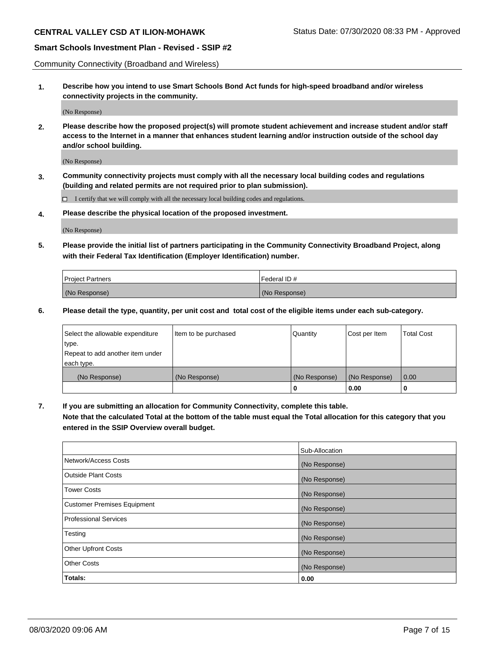Community Connectivity (Broadband and Wireless)

**1. Describe how you intend to use Smart Schools Bond Act funds for high-speed broadband and/or wireless connectivity projects in the community.**

(No Response)

**2. Please describe how the proposed project(s) will promote student achievement and increase student and/or staff access to the Internet in a manner that enhances student learning and/or instruction outside of the school day and/or school building.**

(No Response)

**3. Community connectivity projects must comply with all the necessary local building codes and regulations (building and related permits are not required prior to plan submission).**

 $\Box$  I certify that we will comply with all the necessary local building codes and regulations.

**4. Please describe the physical location of the proposed investment.**

(No Response)

**5. Please provide the initial list of partners participating in the Community Connectivity Broadband Project, along with their Federal Tax Identification (Employer Identification) number.**

| <b>Project Partners</b> | l Federal ID # |
|-------------------------|----------------|
| (No Response)           | (No Response)  |

**6. Please detail the type, quantity, per unit cost and total cost of the eligible items under each sub-category.**

| Select the allowable expenditure | Item to be purchased | Quantity      | Cost per Item | <b>Total Cost</b> |
|----------------------------------|----------------------|---------------|---------------|-------------------|
| type.                            |                      |               |               |                   |
| Repeat to add another item under |                      |               |               |                   |
| each type.                       |                      |               |               |                   |
| (No Response)                    | (No Response)        | (No Response) | (No Response) | 0.00              |
|                                  |                      | o             | 0.00          |                   |

**7. If you are submitting an allocation for Community Connectivity, complete this table.**

**Note that the calculated Total at the bottom of the table must equal the Total allocation for this category that you entered in the SSIP Overview overall budget.**

|                                    | Sub-Allocation |
|------------------------------------|----------------|
| Network/Access Costs               | (No Response)  |
| Outside Plant Costs                | (No Response)  |
| <b>Tower Costs</b>                 | (No Response)  |
| <b>Customer Premises Equipment</b> | (No Response)  |
| <b>Professional Services</b>       | (No Response)  |
| Testing                            | (No Response)  |
| <b>Other Upfront Costs</b>         | (No Response)  |
| <b>Other Costs</b>                 | (No Response)  |
| Totals:                            | 0.00           |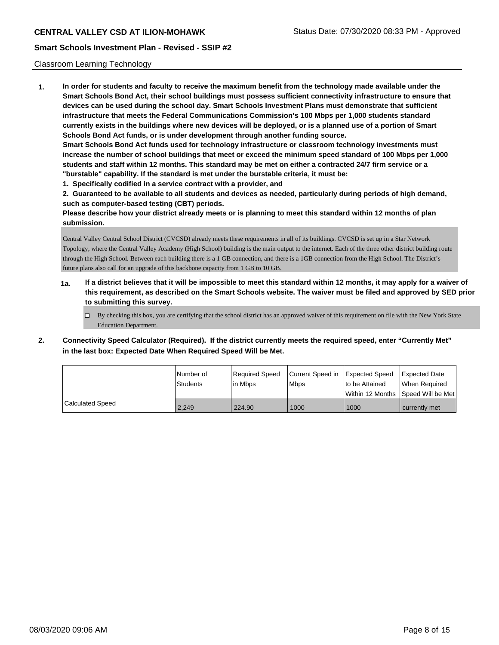### Classroom Learning Technology

**1. In order for students and faculty to receive the maximum benefit from the technology made available under the Smart Schools Bond Act, their school buildings must possess sufficient connectivity infrastructure to ensure that devices can be used during the school day. Smart Schools Investment Plans must demonstrate that sufficient infrastructure that meets the Federal Communications Commission's 100 Mbps per 1,000 students standard currently exists in the buildings where new devices will be deployed, or is a planned use of a portion of Smart Schools Bond Act funds, or is under development through another funding source. Smart Schools Bond Act funds used for technology infrastructure or classroom technology investments must increase the number of school buildings that meet or exceed the minimum speed standard of 100 Mbps per 1,000 students and staff within 12 months. This standard may be met on either a contracted 24/7 firm service or a "burstable" capability. If the standard is met under the burstable criteria, it must be: 1. Specifically codified in a service contract with a provider, and**

**2. Guaranteed to be available to all students and devices as needed, particularly during periods of high demand, such as computer-based testing (CBT) periods.**

**Please describe how your district already meets or is planning to meet this standard within 12 months of plan submission.**

Central Valley Central School District (CVCSD) already meets these requirements in all of its buildings. CVCSD is set up in a Star Network Topology, where the Central Valley Academy (High School) building is the main output to the internet. Each of the three other district building route through the High School. Between each building there is a 1 GB connection, and there is a 1GB connection from the High School. The District's future plans also call for an upgrade of this backbone capacity from 1 GB to 10 GB.

- **1a. If a district believes that it will be impossible to meet this standard within 12 months, it may apply for a waiver of this requirement, as described on the Smart Schools website. The waiver must be filed and approved by SED prior to submitting this survey.**
	- $\Box$  By checking this box, you are certifying that the school district has an approved waiver of this requirement on file with the New York State Education Department.
- **2. Connectivity Speed Calculator (Required). If the district currently meets the required speed, enter "Currently Met" in the last box: Expected Date When Required Speed Will be Met.**

|                  | l Number of     | Required Speed | Current Speed in | Expected Speed     | Expected Date     |
|------------------|-----------------|----------------|------------------|--------------------|-------------------|
|                  | <b>Students</b> | lin Mbps       | <b>Mbps</b>      | to be Attained     | When Reauired     |
|                  |                 |                |                  | l Within 12 Months | Speed Will be Met |
| Calculated Speed | 2.249           | 224.90         | 1000             | 1000               | currently met     |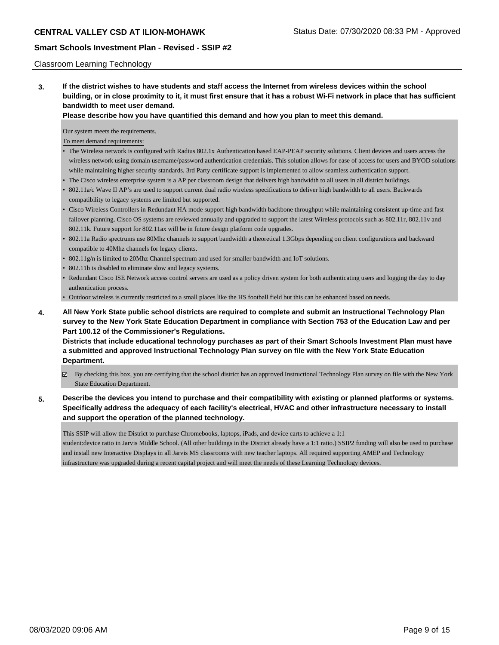### Classroom Learning Technology

**3. If the district wishes to have students and staff access the Internet from wireless devices within the school building, or in close proximity to it, it must first ensure that it has a robust Wi-Fi network in place that has sufficient bandwidth to meet user demand.**

**Please describe how you have quantified this demand and how you plan to meet this demand.**

Our system meets the requirements.

To meet demand requirements:

- The Wireless network is configured with Radius 802.1x Authentication based EAP-PEAP security solutions. Client devices and users access the wireless network using domain username/password authentication credentials. This solution allows for ease of access for users and BYOD solutions while maintaining higher security standards. 3rd Party certificate support is implemented to allow seamless authentication support.
- The Cisco wireless enterprise system is a AP per classroom design that delivers high bandwidth to all users in all district buildings.
- 802.11a/c Wave II AP's are used to support current dual radio wireless specifications to deliver high bandwidth to all users. Backwards compatibility to legacy systems are limited but supported.
- Cisco Wireless Controllers in Redundant HA mode support high bandwidth backbone throughput while maintaining consistent up-time and fast failover planning. Cisco OS systems are reviewed annually and upgraded to support the latest Wireless protocols such as 802.11r, 802.11v and 802.11k. Future support for 802.11ax will be in future design platform code upgrades.
- 802.11a Radio spectrums use 80Mhz channels to support bandwidth a theoretical 1.3Gbps depending on client configurations and backward compatible to 40Mhz channels for legacy clients.
- 802.11g/n is limited to 20Mhz Channel spectrum and used for smaller bandwidth and IoT solutions.
- 802.11b is disabled to eliminate slow and legacy systems.
- Redundant Cisco ISE Network access control servers are used as a policy driven system for both authenticating users and logging the day to day authentication process.

• Outdoor wireless is currently restricted to a small places like the HS football field but this can be enhanced based on needs.

**4. All New York State public school districts are required to complete and submit an Instructional Technology Plan survey to the New York State Education Department in compliance with Section 753 of the Education Law and per Part 100.12 of the Commissioner's Regulations.**

**Districts that include educational technology purchases as part of their Smart Schools Investment Plan must have a submitted and approved Instructional Technology Plan survey on file with the New York State Education Department.**

 $\boxtimes$  By checking this box, you are certifying that the school district has an approved Instructional Technology Plan survey on file with the New York State Education Department.

## **5. Describe the devices you intend to purchase and their compatibility with existing or planned platforms or systems. Specifically address the adequacy of each facility's electrical, HVAC and other infrastructure necessary to install and support the operation of the planned technology.**

This SSIP will allow the District to purchase Chromebooks, laptops, iPads, and device carts to achieve a 1:1

student:device ratio in Jarvis Middle School. (All other buildings in the District already have a 1:1 ratio.) SSIP2 funding will also be used to purchase and install new Interactive Displays in all Jarvis MS classrooms with new teacher laptops. All required supporting AMEP and Technology infrastructure was upgraded during a recent capital project and will meet the needs of these Learning Technology devices.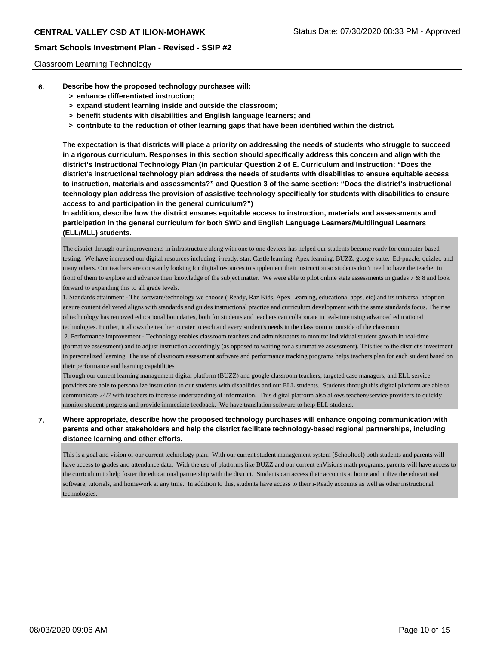### Classroom Learning Technology

- **6. Describe how the proposed technology purchases will:**
	- **> enhance differentiated instruction;**
	- **> expand student learning inside and outside the classroom;**
	- **> benefit students with disabilities and English language learners; and**
	- **> contribute to the reduction of other learning gaps that have been identified within the district.**

**The expectation is that districts will place a priority on addressing the needs of students who struggle to succeed in a rigorous curriculum. Responses in this section should specifically address this concern and align with the district's Instructional Technology Plan (in particular Question 2 of E. Curriculum and Instruction: "Does the district's instructional technology plan address the needs of students with disabilities to ensure equitable access to instruction, materials and assessments?" and Question 3 of the same section: "Does the district's instructional technology plan address the provision of assistive technology specifically for students with disabilities to ensure access to and participation in the general curriculum?")**

**In addition, describe how the district ensures equitable access to instruction, materials and assessments and participation in the general curriculum for both SWD and English Language Learners/Multilingual Learners (ELL/MLL) students.**

The district through our improvements in infrastructure along with one to one devices has helped our students become ready for computer-based testing. We have increased our digital resources including, i-ready, star, Castle learning, Apex learning, BUZZ, google suite, Ed-puzzle, quizlet, and many others. Our teachers are constantly looking for digital resources to supplement their instruction so students don't need to have the teacher in front of them to explore and advance their knowledge of the subject matter. We were able to pilot online state assessments in grades 7 & 8 and look forward to expanding this to all grade levels.

1. Standards attainment - The software/technology we choose (iReady, Raz Kids, Apex Learning, educational apps, etc) and its universal adoption ensure content delivered aligns with standards and guides instructional practice and curriculum development with the same standards focus. The rise of technology has removed educational boundaries, both for students and teachers can collaborate in real-time using advanced educational technologies. Further, it allows the teacher to cater to each and every student's needs in the classroom or outside of the classroom.

 2. Performance improvement - Technology enables classroom teachers and administrators to monitor individual student growth in real-time (formative assessment) and to adjust instruction accordingly (as opposed to waiting for a summative assessment). This ties to the district's investment in personalized learning. The use of classroom assessment software and performance tracking programs helps teachers plan for each student based on their performance and learning capabilities

Through our current learning management digital platform (BUZZ) and google classroom teachers, targeted case managers, and ELL service providers are able to personalize instruction to our students with disabilities and our ELL students. Students through this digital platform are able to communicate 24/7 with teachers to increase understanding of information. This digital platform also allows teachers/service providers to quickly monitor student progress and provide immediate feedback. We have translation software to help ELL students.

## **7. Where appropriate, describe how the proposed technology purchases will enhance ongoing communication with parents and other stakeholders and help the district facilitate technology-based regional partnerships, including distance learning and other efforts.**

This is a goal and vision of our current technology plan. With our current student management system (Schooltool) both students and parents will have access to grades and attendance data. With the use of platforms like BUZZ and our current enVisions math programs, parents will have access to the curriculum to help foster the educational partnership with the district. Students can access their accounts at home and utilize the educational software, tutorials, and homework at any time. In addition to this, students have access to their i-Ready accounts as well as other instructional technologies.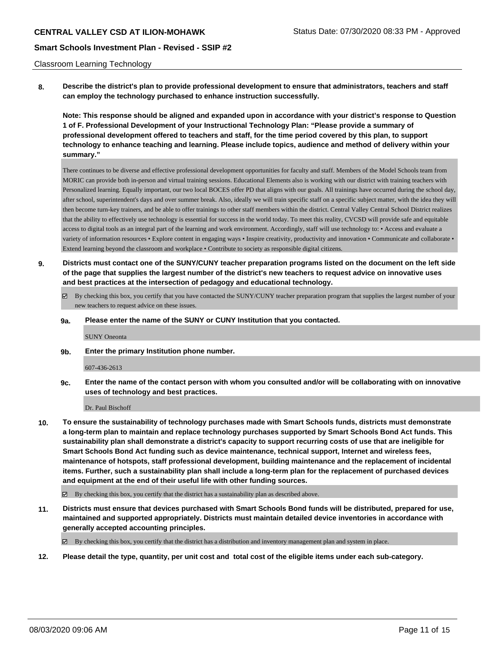### Classroom Learning Technology

**8. Describe the district's plan to provide professional development to ensure that administrators, teachers and staff can employ the technology purchased to enhance instruction successfully.**

**Note: This response should be aligned and expanded upon in accordance with your district's response to Question 1 of F. Professional Development of your Instructional Technology Plan: "Please provide a summary of professional development offered to teachers and staff, for the time period covered by this plan, to support technology to enhance teaching and learning. Please include topics, audience and method of delivery within your summary."**

There continues to be diverse and effective professional development opportunities for faculty and staff. Members of the Model Schools team from MORIC can provide both in-person and virtual training sessions. Educational Elements also is working with our district with training teachers with Personalized learning. Equally important, our two local BOCES offer PD that aligns with our goals. All trainings have occurred during the school day, after school, superintendent's days and over summer break. Also, ideally we will train specific staff on a specific subject matter, with the idea they will then become turn-key trainers, and be able to offer trainings to other staff members within the district. Central Valley Central School District realizes that the ability to effectively use technology is essential for success in the world today. To meet this reality, CVCSD will provide safe and equitable access to digital tools as an integral part of the learning and work environment. Accordingly, staff will use technology to: • Access and evaluate a variety of information resources • Explore content in engaging ways • Inspire creativity, productivity and innovation • Communicate and collaborate • Extend learning beyond the classroom and workplace • Contribute to society as responsible digital citizens.

- **9. Districts must contact one of the SUNY/CUNY teacher preparation programs listed on the document on the left side of the page that supplies the largest number of the district's new teachers to request advice on innovative uses and best practices at the intersection of pedagogy and educational technology.**
	- By checking this box, you certify that you have contacted the SUNY/CUNY teacher preparation program that supplies the largest number of your new teachers to request advice on these issues.

#### **9a. Please enter the name of the SUNY or CUNY Institution that you contacted.**

SUNY Oneonta

**9b. Enter the primary Institution phone number.**

#### 607-436-2613

**9c. Enter the name of the contact person with whom you consulted and/or will be collaborating with on innovative uses of technology and best practices.**

#### Dr. Paul Bischoff

- **10. To ensure the sustainability of technology purchases made with Smart Schools funds, districts must demonstrate a long-term plan to maintain and replace technology purchases supported by Smart Schools Bond Act funds. This sustainability plan shall demonstrate a district's capacity to support recurring costs of use that are ineligible for Smart Schools Bond Act funding such as device maintenance, technical support, Internet and wireless fees, maintenance of hotspots, staff professional development, building maintenance and the replacement of incidental items. Further, such a sustainability plan shall include a long-term plan for the replacement of purchased devices and equipment at the end of their useful life with other funding sources.**
	- $\boxtimes$  By checking this box, you certify that the district has a sustainability plan as described above.
- **11. Districts must ensure that devices purchased with Smart Schools Bond funds will be distributed, prepared for use, maintained and supported appropriately. Districts must maintain detailed device inventories in accordance with generally accepted accounting principles.**

By checking this box, you certify that the district has a distribution and inventory management plan and system in place.

**12. Please detail the type, quantity, per unit cost and total cost of the eligible items under each sub-category.**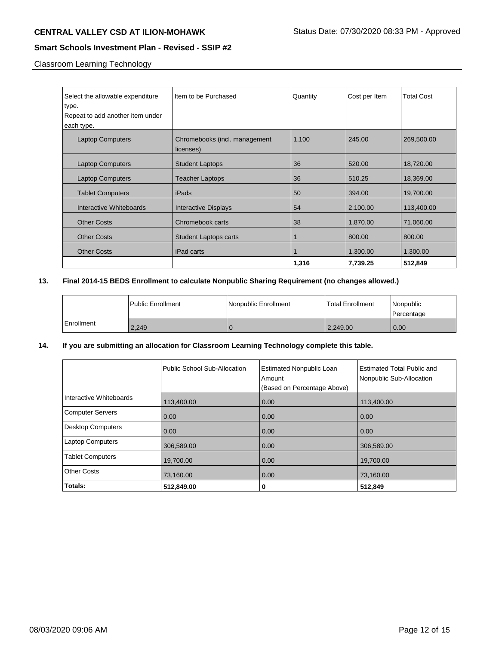# **CENTRAL VALLEY CSD AT ILION-MOHAWK** Status Date: 07/30/2020 08:33 PM - Approved

## **Smart Schools Investment Plan - Revised - SSIP #2**

Classroom Learning Technology

| Select the allowable expenditure<br>type.<br>Repeat to add another item under<br>each type. | Item to be Purchased                       | Quantity | Cost per Item | <b>Total Cost</b> |
|---------------------------------------------------------------------------------------------|--------------------------------------------|----------|---------------|-------------------|
| <b>Laptop Computers</b>                                                                     | Chromebooks (incl. management<br>licenses) | 1,100    | 245.00        | 269,500.00        |
| <b>Laptop Computers</b>                                                                     | <b>Student Laptops</b>                     | 36       | 520.00        | 18,720.00         |
| <b>Laptop Computers</b>                                                                     | <b>Teacher Laptops</b>                     | 36       | 510.25        | 18,369.00         |
| <b>Tablet Computers</b>                                                                     | iPads                                      | 50       | 394.00        | 19,700.00         |
| Interactive Whiteboards                                                                     | Interactive Displays                       | 54       | 2,100.00      | 113,400.00        |
| <b>Other Costs</b>                                                                          | Chromebook carts                           | 38       | 1,870.00      | 71,060.00         |
| <b>Other Costs</b>                                                                          | <b>Student Laptops carts</b>               |          | 800.00        | 800.00            |
| <b>Other Costs</b>                                                                          | iPad carts                                 |          | 1,300.00      | 1,300.00          |
|                                                                                             |                                            | 1,316    | 7,739.25      | 512,849           |

## **13. Final 2014-15 BEDS Enrollment to calculate Nonpublic Sharing Requirement (no changes allowed.)**

|            | l Public Enrollment | l Nonpublic Enrollment | <b>Total Enrollment</b> | l Nonpublic<br>l Percentage |
|------------|---------------------|------------------------|-------------------------|-----------------------------|
| Enrollment | 2,249               |                        | 2,249.00                | 0.00                        |

## **14. If you are submitting an allocation for Classroom Learning Technology complete this table.**

|                          | Public School Sub-Allocation | <b>Estimated Nonpublic Loan</b><br>Amount<br>(Based on Percentage Above) | Estimated Total Public and<br>Nonpublic Sub-Allocation |
|--------------------------|------------------------------|--------------------------------------------------------------------------|--------------------------------------------------------|
| Interactive Whiteboards  | 113,400.00                   | 0.00                                                                     | 113,400.00                                             |
| <b>Computer Servers</b>  | 0.00                         | 0.00                                                                     | 0.00                                                   |
| <b>Desktop Computers</b> | 0.00                         | 0.00                                                                     | 0.00                                                   |
| <b>Laptop Computers</b>  | 306,589.00                   | 0.00                                                                     | 306,589.00                                             |
| <b>Tablet Computers</b>  | 19,700.00                    | 0.00                                                                     | 19,700.00                                              |
| <b>Other Costs</b>       | 73,160.00                    | 0.00                                                                     | 73,160.00                                              |
| Totals:                  | 512,849.00                   | 0                                                                        | 512,849                                                |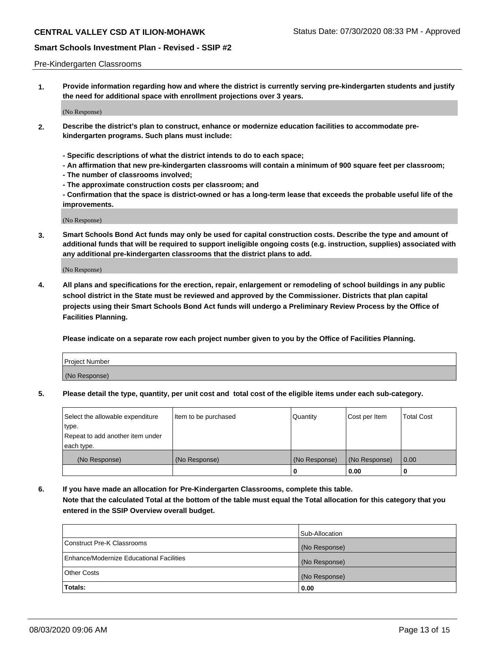### Pre-Kindergarten Classrooms

**1. Provide information regarding how and where the district is currently serving pre-kindergarten students and justify the need for additional space with enrollment projections over 3 years.**

(No Response)

- **2. Describe the district's plan to construct, enhance or modernize education facilities to accommodate prekindergarten programs. Such plans must include:**
	- **Specific descriptions of what the district intends to do to each space;**
	- **An affirmation that new pre-kindergarten classrooms will contain a minimum of 900 square feet per classroom;**
	- **The number of classrooms involved;**
	- **The approximate construction costs per classroom; and**
	- **Confirmation that the space is district-owned or has a long-term lease that exceeds the probable useful life of the improvements.**

(No Response)

**3. Smart Schools Bond Act funds may only be used for capital construction costs. Describe the type and amount of additional funds that will be required to support ineligible ongoing costs (e.g. instruction, supplies) associated with any additional pre-kindergarten classrooms that the district plans to add.**

(No Response)

**4. All plans and specifications for the erection, repair, enlargement or remodeling of school buildings in any public school district in the State must be reviewed and approved by the Commissioner. Districts that plan capital projects using their Smart Schools Bond Act funds will undergo a Preliminary Review Process by the Office of Facilities Planning.**

**Please indicate on a separate row each project number given to you by the Office of Facilities Planning.**

| Project Number |  |
|----------------|--|
| (No Response)  |  |
|                |  |

**5. Please detail the type, quantity, per unit cost and total cost of the eligible items under each sub-category.**

| Select the allowable expenditure | Item to be purchased | Quantity      | Cost per Item | <b>Total Cost</b> |
|----------------------------------|----------------------|---------------|---------------|-------------------|
| type.                            |                      |               |               |                   |
| Repeat to add another item under |                      |               |               |                   |
| each type.                       |                      |               |               |                   |
| (No Response)                    | (No Response)        | (No Response) | (No Response) | 0.00              |
|                                  |                      | U             | 0.00          |                   |

**6. If you have made an allocation for Pre-Kindergarten Classrooms, complete this table. Note that the calculated Total at the bottom of the table must equal the Total allocation for this category that you entered in the SSIP Overview overall budget.**

|                                          | Sub-Allocation |
|------------------------------------------|----------------|
| Construct Pre-K Classrooms               | (No Response)  |
| Enhance/Modernize Educational Facilities | (No Response)  |
| <b>Other Costs</b>                       | (No Response)  |
| Totals:                                  | 0.00           |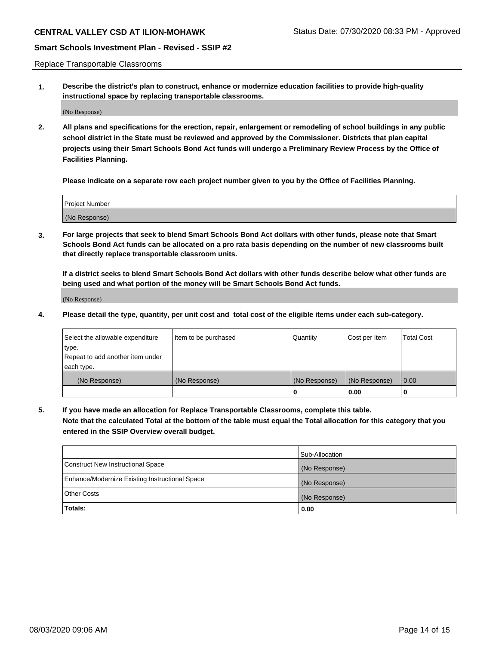Replace Transportable Classrooms

**1. Describe the district's plan to construct, enhance or modernize education facilities to provide high-quality instructional space by replacing transportable classrooms.**

(No Response)

**2. All plans and specifications for the erection, repair, enlargement or remodeling of school buildings in any public school district in the State must be reviewed and approved by the Commissioner. Districts that plan capital projects using their Smart Schools Bond Act funds will undergo a Preliminary Review Process by the Office of Facilities Planning.**

**Please indicate on a separate row each project number given to you by the Office of Facilities Planning.**

| Project Number |  |
|----------------|--|
|                |  |
|                |  |
|                |  |
| (No Response)  |  |
|                |  |
|                |  |

**3. For large projects that seek to blend Smart Schools Bond Act dollars with other funds, please note that Smart Schools Bond Act funds can be allocated on a pro rata basis depending on the number of new classrooms built that directly replace transportable classroom units.**

**If a district seeks to blend Smart Schools Bond Act dollars with other funds describe below what other funds are being used and what portion of the money will be Smart Schools Bond Act funds.**

(No Response)

**4. Please detail the type, quantity, per unit cost and total cost of the eligible items under each sub-category.**

| Select the allowable expenditure           | Item to be purchased | Quantity      | Cost per Item | <b>Total Cost</b> |
|--------------------------------------------|----------------------|---------------|---------------|-------------------|
| ∣type.<br>Repeat to add another item under |                      |               |               |                   |
| each type.                                 |                      |               |               |                   |
| (No Response)                              | (No Response)        | (No Response) | (No Response) | 0.00              |
|                                            |                      | 0             | 0.00          |                   |

**5. If you have made an allocation for Replace Transportable Classrooms, complete this table. Note that the calculated Total at the bottom of the table must equal the Total allocation for this category that you entered in the SSIP Overview overall budget.**

|                                                | Sub-Allocation |
|------------------------------------------------|----------------|
| Construct New Instructional Space              | (No Response)  |
| Enhance/Modernize Existing Instructional Space | (No Response)  |
| <b>Other Costs</b>                             | (No Response)  |
| Totals:                                        | 0.00           |